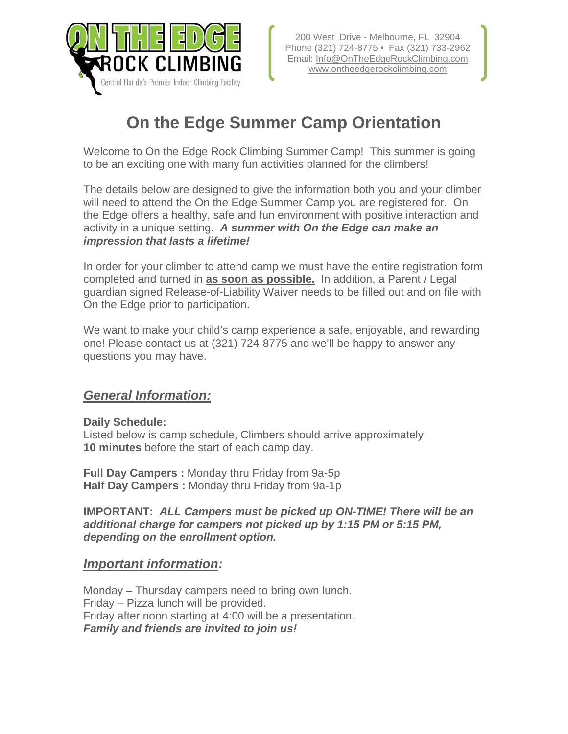

# **On the Edge Summer Camp Orientation**

Welcome to On the Edge Rock Climbing Summer Camp! This summer is going to be an exciting one with many fun activities planned for the climbers!

The details below are designed to give the information both you and your climber will need to attend the On the Edge Summer Camp you are registered for. On the Edge offers a healthy, safe and fun environment with positive interaction and activity in a unique setting. *A summer with On the Edge can make an impression that lasts a lifetime!*

In order for your climber to attend camp we must have the entire registration form completed and turned in **as soon as possible.** In addition, a Parent / Legal guardian signed Release-of-Liability Waiver needs to be filled out and on file with On the Edge prior to participation.

We want to make your child's camp experience a safe, enjoyable, and rewarding one! Please contact us at (321) 724-8775 and we'll be happy to answer any questions you may have.

#### *General Information:*

**Daily Schedule:** 

Listed below is camp schedule, Climbers should arrive approximately **10 minutes** before the start of each camp day.

**Full Day Campers :** Monday thru Friday from 9a-5p **Half Day Campers :** Monday thru Friday from 9a-1p

**IMPORTANT:** *ALL Campers must be picked up ON-TIME! There will be an additional charge for campers not picked up by 1:15 PM or 5:15 PM, depending on the enrollment option.* 

#### *Important information:*

Monday – Thursday campers need to bring own lunch. Friday – Pizza lunch will be provided. Friday after noon starting at 4:00 will be a presentation. *Family and friends are invited to join us!*